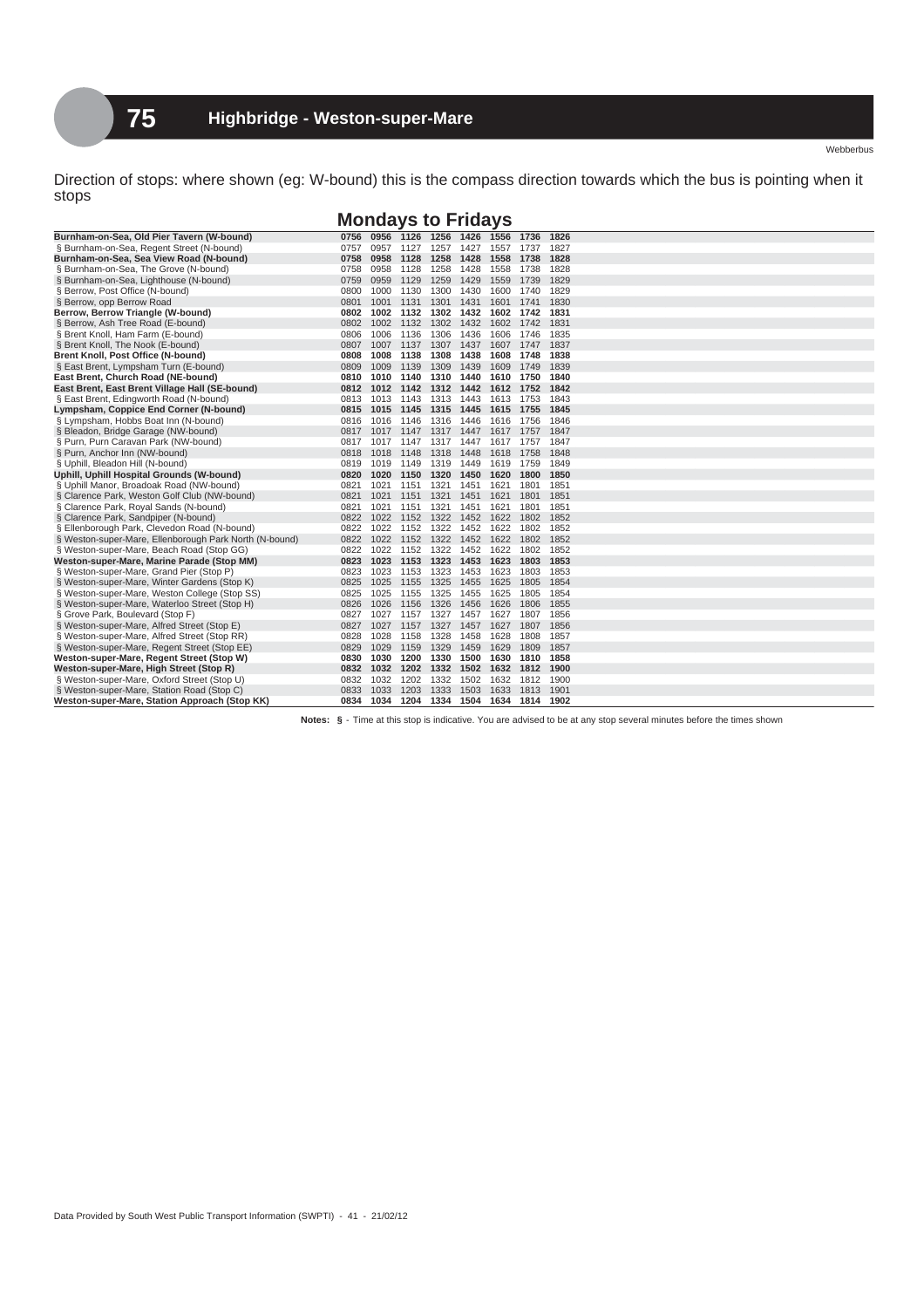Direction of stops: where shown (eg: W-bound) this is the compass direction towards which the bus is pointing when it stops

## **Mondays to Fridays**

| Burnham-on-Sea, Old Pier Tavern (W-bound)              | 0756      | 0956      | 1126 1256 1426                |           |      | 1556 1736 |                               | 1826 |
|--------------------------------------------------------|-----------|-----------|-------------------------------|-----------|------|-----------|-------------------------------|------|
| § Burnham-on-Sea, Regent Street (N-bound)              | 0757      | 0957      | 1127                          | 1257      | 1427 | 1557      | 1737                          | 1827 |
| Burnham-on-Sea, Sea View Road (N-bound)                | 0758      | 0958      | 1128                          | 1258 1428 |      | 1558 1738 |                               | 1828 |
| § Burnham-on-Sea, The Grove (N-bound)                  | 0758      | 0958      | 1128                          | 1258      | 1428 | 1558      | 1738                          | 1828 |
| § Burnham-on-Sea, Lighthouse (N-bound)                 | 0759      | 0959      | 1129                          | 1259      | 1429 | 1559 1739 |                               | 1829 |
| § Berrow, Post Office (N-bound)                        | 0800      | 1000      | 1130                          | 1300 1430 |      |           | 1600 1740                     | 1829 |
| § Berrow, opp Berrow Road                              | 0801      | 1001      | 1131 1301 1431                |           |      |           | 1601 1741                     | 1830 |
| Berrow, Berrow Triangle (W-bound)                      |           | 0802 1002 | 1132                          | 1302 1432 |      |           | 1602 1742                     | 1831 |
| § Berrow, Ash Tree Road (E-bound)                      |           | 0802 1002 | 1132 1302 1432                |           |      |           | 1602 1742 1831                |      |
| § Brent Knoll, Ham Farm (E-bound)                      | 0806      | 1006      | 1136                          | 1306      | 1436 | 1606      | 1746                          | 1835 |
| § Brent Knoll, The Nook (E-bound)                      | 0807      | 1007      | 1137                          | 1307      | 1437 | 1607      | 1747                          | 1837 |
| Brent Knoll, Post Office (N-bound)                     | 0808      | 1008      | 1138                          | 1308 1438 |      | 1608 1748 |                               | 1838 |
| § East Brent, Lympsham Turn (E-bound)                  | 0809      | 1009      | 1139                          | 1309 1439 |      | 1609 1749 |                               | 1839 |
| East Brent, Church Road (NE-bound)                     | 0810      | 1010      | 1140                          | 1310 1440 |      |           | 1610 1750                     | 1840 |
| East Brent, East Brent Village Hall (SE-bound)         |           | 0812 1012 | 1142 1312 1442                |           |      |           | 1612 1752 1842                |      |
| § East Brent, Edingworth Road (N-bound)                |           |           | 0813 1013 1143 1313 1443      |           |      |           | 1613 1753                     | 1843 |
| Lympsham, Coppice End Corner (N-bound)                 |           | 0815 1015 | 1145 1315 1445                |           |      | 1615 1755 |                               | 1845 |
| § Lympsham, Hobbs Boat Inn (N-bound)                   | 0816      | 1016      | 1146                          | 1316      | 1446 | 1616      | 1756                          | 1846 |
| § Bleadon, Bridge Garage (NW-bound)                    | 0817      | 1017      | 1147                          | 1317 1447 |      |           | 1617 1757                     | 1847 |
| § Purn, Purn Caravan Park (NW-bound)                   | 0817      | 1017      | 1147                          | 1317 1447 |      | 1617 1757 |                               | 1847 |
| § Purn, Anchor Inn (NW-bound)                          |           | 0818 1018 | 1148                          | 1318 1448 |      | 1618 1758 |                               | 1848 |
| § Uphill, Bleadon Hill (N-bound)                       | 0819      | 1019      | 1149                          | 1319 1449 |      |           | 1619 1759                     | 1849 |
| Uphill, Uphill Hospital Grounds (W-bound)              | 0820      | 1020      | 1150                          | 1320 1450 |      | 1620      | 1800                          | 1850 |
| § Uphill Manor, Broadoak Road (NW-bound)               | 0821      | 1021      | 1151                          | 1321      | 1451 | 1621      | 1801                          | 1851 |
| § Clarence Park, Weston Golf Club (NW-bound)           | 0821      | 1021      | 1151 1321 1451                |           |      | 1621      | 1801                          | 1851 |
| § Clarence Park, Royal Sands (N-bound)                 | 0821      | 1021      | 1151                          | 1321      | 1451 | 1621      | 1801                          | 1851 |
| § Clarence Park, Sandpiper (N-bound)                   | 0822 1022 |           | 1152 1322 1452                |           |      | 1622      | 1802                          | 1852 |
| § Ellenborough Park, Clevedon Road (N-bound)           | 0822      | 1022      | 1152                          | 1322 1452 |      | 1622      | 1802                          | 1852 |
| § Weston-super-Mare, Ellenborough Park North (N-bound) |           | 0822 1022 | 1152 1322 1452 1622           |           |      |           | 1802                          | 1852 |
| § Weston-super-Mare, Beach Road (Stop GG)              | 0822      | 1022      | 1152                          | 1322 1452 |      | 1622      | 1802                          | 1852 |
| Weston-super-Mare, Marine Parade (Stop MM)             | 0823      | 1023      | 1153 1323 1453                |           |      | 1623      | 1803                          | 1853 |
| § Weston-super-Mare, Grand Pier (Stop P)               | 0823      | 1023      | 1153                          | 1323 1453 |      | 1623      | 1803                          | 1853 |
| § Weston-super-Mare, Winter Gardens (Stop K)           | 0825      | 1025      | 1155                          | 1325      | 1455 | 1625      | 1805                          | 1854 |
| § Weston-super-Mare, Weston College (Stop SS)          | 0825      | 1025      | 1155                          | 1325      | 1455 | 1625      | 1805                          | 1854 |
| § Weston-super-Mare, Waterloo Street (Stop H)          | 0826      | 1026      | 1156                          | 1326      | 1456 | 1626      | 1806                          | 1855 |
| § Grove Park, Boulevard (Stop F)                       | 0827      | 1027      | 1157                          | 1327      | 1457 | 1627      | 1807                          | 1856 |
| § Weston-super-Mare, Alfred Street (Stop E)            | 0827      | 1027      | 1157                          | 1327      | 1457 | 1627      | 1807                          | 1856 |
| § Weston-super-Mare, Alfred Street (Stop RR)           | 0828      | 1028      | 1158                          | 1328      | 1458 | 1628      | 1808                          | 1857 |
| § Weston-super-Mare, Regent Street (Stop EE)           | 0829      | 1029      | 1159                          | 1329 1459 |      | 1629      | 1809                          | 1857 |
| Weston-super-Mare, Regent Street (Stop W)              | 0830      | 1030      | 1200                          | 1330 1500 |      | 1630      | 1810                          | 1858 |
| Weston-super-Mare, High Street (Stop R)                |           | 0832 1032 |                               |           |      |           | 1202 1332 1502 1632 1812 1900 |      |
| § Weston-super-Mare, Oxford Street (Stop U)            | 0832      | 1032      | 1202                          | 1332      | 1502 | 1632      | 1812 1900                     |      |
| § Weston-super-Mare, Station Road (Stop C)             | 0833      | 1033      | 1203                          | 1333      | 1503 | 1633      | 1813                          | 1901 |
| Weston-super-Mare, Station Approach (Stop KK)          |           | 0834 1034 | 1204 1334 1504 1634 1814 1902 |           |      |           |                               |      |

**Notes: §** - Time at this stop is indicative. You are advised to be at any stop several minutes before the times shown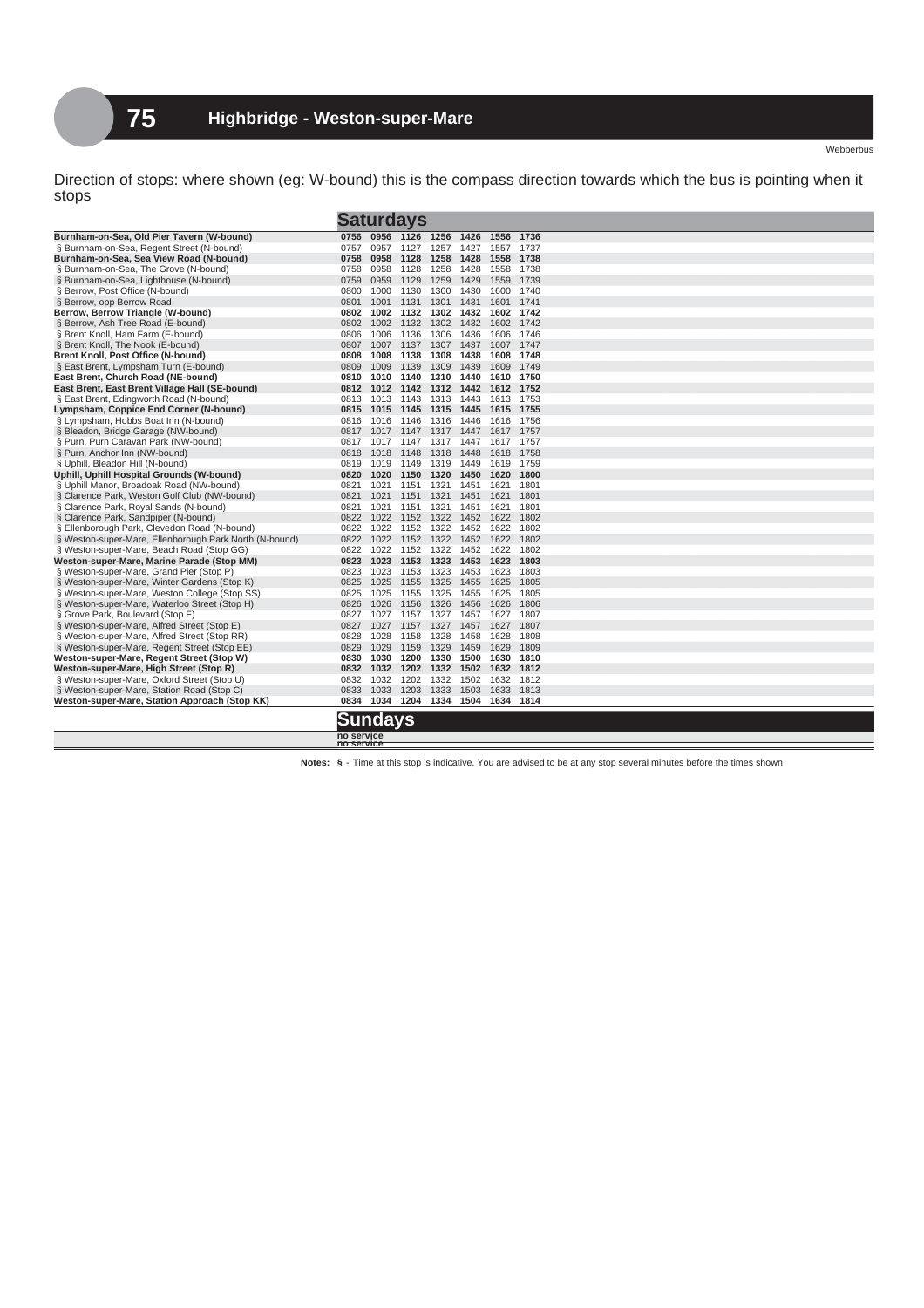Direction of stops: where shown (eg: W-bound) this is the compass direction towards which the bus is pointing when it stops

|                                                        |                          |      | <b>Saturdays</b> |                |      |      |                                    |
|--------------------------------------------------------|--------------------------|------|------------------|----------------|------|------|------------------------------------|
| Burnham-on-Sea, Old Pier Tavern (W-bound)              | 0756                     |      | 0956 1126 1256   |                | 1426 | 1556 | 1736                               |
| § Burnham-on-Sea, Regent Street (N-bound)              | 0757                     | 0957 | 1127             | 1257           | 1427 | 1557 | 1737                               |
| Burnham-on-Sea, Sea View Road (N-bound)                | 0758                     | 0958 |                  | 1128 1258      | 1428 | 1558 | 1738                               |
| § Burnham-on-Sea, The Grove (N-bound)                  | 0758                     | 0958 | 1128             | 1258           | 1428 | 1558 | 1738                               |
| § Burnham-on-Sea, Lighthouse (N-bound)                 | 0759                     | 0959 | 1129             | 1259           | 1429 | 1559 | 1739                               |
| § Berrow, Post Office (N-bound)                        | 0800                     | 1000 | 1130             | 1300           | 1430 | 1600 | 1740                               |
| § Berrow, opp Berrow Road                              | 0801                     | 1001 | 1131             | 1301           | 1431 | 1601 | 1741                               |
| Berrow, Berrow Triangle (W-bound)                      | 0802                     | 1002 |                  | 1132 1302      | 1432 | 1602 | 1742                               |
| § Berrow. Ash Tree Road (E-bound)                      | 0802                     | 1002 |                  | 1132 1302      | 1432 | 1602 | 1742                               |
| § Brent Knoll, Ham Farm (E-bound)                      | 0806                     | 1006 | 1136             | 1306           | 1436 | 1606 | 1746                               |
| § Brent Knoll, The Nook (E-bound)                      | 0807                     | 1007 |                  | 1137 1307      | 1437 | 1607 | 1747                               |
| Brent Knoll, Post Office (N-bound)                     | 0808                     | 1008 |                  | 1138 1308      | 1438 | 1608 | 1748                               |
| § East Brent, Lympsham Turn (E-bound)                  | 0809                     | 1009 | 1139             | 1309           | 1439 | 1609 | 1749                               |
| East Brent, Church Road (NE-bound)                     | 0810                     | 1010 |                  | 1140 1310      | 1440 | 1610 | 1750                               |
| East Brent, East Brent Village Hall (SE-bound)         | 0812                     | 1012 | 1142 1312        |                | 1442 | 1612 | 1752                               |
| § East Brent, Edingworth Road (N-bound)                | 0813                     | 1013 |                  | 1143 1313      | 1443 | 1613 | 1753                               |
| Lympsham, Coppice End Corner (N-bound)                 | 0815                     | 1015 | 1145             | 1315           | 1445 | 1615 | 1755                               |
| § Lympsham, Hobbs Boat Inn (N-bound)                   | 0816                     | 1016 |                  | 1146 1316      | 1446 | 1616 | 1756                               |
| § Bleadon, Bridge Garage (NW-bound)                    | 0817                     | 1017 |                  | 1147 1317      | 1447 | 1617 | 1757                               |
| § Purn, Purn Caravan Park (NW-bound)                   | 0817                     | 1017 |                  | 1147 1317 1447 |      |      | 1617 1757                          |
| § Purn, Anchor Inn (NW-bound)                          | 0818                     | 1018 | 1148             | 1318           | 1448 | 1618 | 1758                               |
| § Uphill, Bleadon Hill (N-bound)                       | 0819                     | 1019 |                  | 1149 1319      | 1449 | 1619 | 1759                               |
| Uphill, Uphill Hospital Grounds (W-bound)              | 0820                     | 1020 |                  | 1150 1320      | 1450 | 1620 | 1800                               |
| § Uphill Manor, Broadoak Road (NW-bound)               | 0821                     | 1021 |                  | 1151 1321      | 1451 | 1621 | 1801                               |
| § Clarence Park, Weston Golf Club (NW-bound)           | 0821                     | 1021 | 1151             | 1321           | 1451 | 1621 | 1801                               |
| § Clarence Park, Royal Sands (N-bound)                 | 0821                     | 1021 |                  | 1151 1321      | 1451 | 1621 | 1801                               |
| § Clarence Park, Sandpiper (N-bound)                   | 0822                     | 1022 |                  | 1152 1322      | 1452 | 1622 | 1802                               |
| § Ellenborough Park, Clevedon Road (N-bound)           | 0822                     | 1022 |                  | 1152 1322      | 1452 | 1622 | 1802                               |
| § Weston-super-Mare, Ellenborough Park North (N-bound) | 0822                     | 1022 |                  | 1152 1322      | 1452 | 1622 | 1802                               |
| § Weston-super-Mare, Beach Road (Stop GG)              | 0822                     | 1022 |                  | 1152 1322 1452 |      | 1622 | 1802                               |
| Weston-super-Mare, Marine Parade (Stop MM)             | 0823                     | 1023 |                  | 1153 1323      | 1453 | 1623 | 1803                               |
| § Weston-super-Mare, Grand Pier (Stop P)               | 0823                     | 1023 |                  | 1153 1323      | 1453 | 1623 | 1803                               |
| § Weston-super-Mare, Winter Gardens (Stop K)           | 0825                     | 1025 | 1155             | 1325           | 1455 | 1625 | 1805                               |
| § Weston-super-Mare, Weston College (Stop SS)          | 0825                     | 1025 |                  | 1155 1325      | 1455 | 1625 | 1805                               |
| § Weston-super-Mare, Waterloo Street (Stop H)          | 0826                     | 1026 | 1156             | 1326           | 1456 | 1626 | 1806                               |
| § Grove Park, Boulevard (Stop F)                       | 0827                     | 1027 |                  | 1157 1327 1457 |      | 1627 | 1807                               |
| § Weston-super-Mare, Alfred Street (Stop E)            | 0827                     | 1027 |                  | 1327           | 1457 | 1627 | 1807                               |
|                                                        |                          |      | 1157             |                |      |      |                                    |
| § Weston-super-Mare, Alfred Street (Stop RR)           | 0828                     | 1028 |                  | 1158 1328      | 1458 | 1628 | 1808                               |
| § Weston-super-Mare, Regent Street (Stop EE)           | 0829                     | 1029 | 1159             | 1329           | 1459 | 1629 | 1809                               |
| Weston-super-Mare, Regent Street (Stop W)              | 0830                     | 1030 |                  | 1200 1330      | 1500 | 1630 | 1810                               |
| Weston-super-Mare, High Street (Stop R)                | 0832                     | 1032 |                  | 1202 1332      | 1502 | 1632 | 1812                               |
| § Weston-super-Mare, Oxford Street (Stop U)            | 0832                     | 1032 |                  | 1202 1332      | 1502 |      | 1632 1812                          |
| § Weston-super-Mare, Station Road (Stop C)             | 0833                     | 1033 | 1203             | 1333           | 1503 | 1633 | 1813                               |
| Weston-super-Mare, Station Approach (Stop KK)          |                          |      |                  |                |      |      | 0834 1034 1204 1334 1504 1634 1814 |
|                                                        | <u>Sundays</u>           |      |                  |                |      |      |                                    |
|                                                        | no service<br>no service |      |                  |                |      |      |                                    |
|                                                        |                          |      |                  |                |      |      |                                    |

**Notes: §** - Time at this stop is indicative. You are advised to be at any stop several minutes before the times shown

Webberbus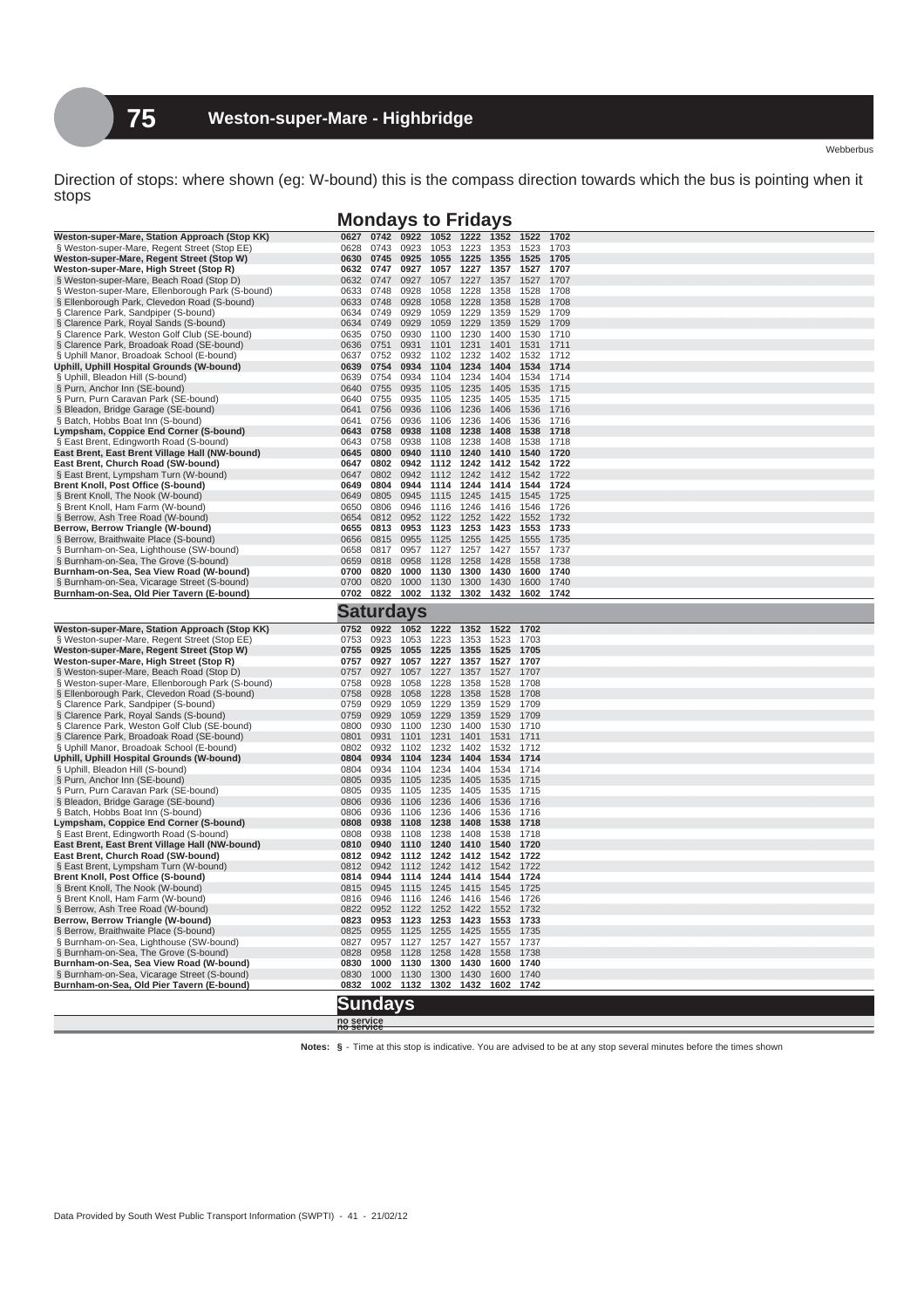Direction of stops: where shown (eg: W-bound) this is the compass direction towards which the bus is pointing when it stops

Webberbus

## **Mondays to Fridays**

| Weston-super-Mare, Station Approach (Stop KK)                               |                          |              |                  |              |              |              |              |              |
|-----------------------------------------------------------------------------|--------------------------|--------------|------------------|--------------|--------------|--------------|--------------|--------------|
|                                                                             | 0627                     | 0742         | 0922             | 1052         | 1222         | 1352         | 1522         | 1702         |
| § Weston-super-Mare, Regent Street (Stop EE)                                | 0628                     | 0743         | 0923             | 1053         | 1223         | 1353         | 1523         | 1703         |
| Weston-super-Mare, Regent Street (Stop W)                                   | 0630                     | 0745         | 0925             | 1055         | 1225         | 1355         | 1525         | 1705         |
| Weston-super-Mare, High Street (Stop R)                                     | 0632                     | 0747         | 0927             | 1057         | 1227         | 1357         | 1527         | 1707         |
| § Weston-super-Mare, Beach Road (Stop D)                                    | 0632                     | 0747         | 0927             | 1057         | 1227         | 1357         | 1527         | 1707         |
| § Weston-super-Mare, Ellenborough Park (S-bound)                            | 0633                     | 0748         | 0928             | 1058         | 1228         | 1358         | 1528         | 1708         |
| § Ellenborough Park, Clevedon Road (S-bound)                                | 0633                     | 0748         | 0928             | 1058         | 1228         | 1358         | 1528         | 1708         |
| § Clarence Park, Sandpiper (S-bound)                                        | 0634                     | 0749         | 0929             | 1059         | 1229         | 1359         | 1529         | 1709         |
| § Clarence Park, Royal Sands (S-bound)                                      | 0634                     | 0749         | 0929             | 1059         | 1229         | 1359         | 1529         | 1709         |
| § Clarence Park, Weston Golf Club (SE-bound)                                | 0635                     | 0750         | 0930             | 1100         | 1230         | 1400         | 1530         | 1710         |
| § Clarence Park, Broadoak Road (SE-bound)                                   | 0636                     | 0751         | 0931             | 1101         | 1231         | 1401         | 1531         | 1711         |
| § Uphill Manor, Broadoak School (E-bound)                                   | 0637                     | 0752         | 0932             | 1102         | 1232         | 1402         | 1532         | 1712         |
| Uphill, Uphill Hospital Grounds (W-bound)                                   | 0639                     | 0754         | 0934             | 1104         | 1234         | 1404         | 1534         | 1714         |
| § Uphill, Bleadon Hill (S-bound)                                            | 0639                     | 0754         | 0934             | 1104         | 1234         | 1404         | 1534         | 1714         |
| § Purn, Anchor Inn (SE-bound)                                               | 0640                     | 0755         | 0935             | 1105         | 1235         | 1405         | 1535         | 1715         |
| § Purn, Purn Caravan Park (SE-bound)                                        | 0640                     | 0755         | 0935             | 1105         | 1235         | 1405         | 1535         | 1715         |
| § Bleadon, Bridge Garage (SE-bound)                                         | 0641                     | 0756         | 0936             | 1106         | 1236         | 1406         | 1536         | 1716         |
| § Batch, Hobbs Boat Inn (S-bound)                                           | 0641                     | 0756         | 0936             | 1106         | 1236         | 1406         | 1536         | 1716         |
| Lympsham, Coppice End Corner (S-bound)                                      | 0643                     | 0758         | 0938             | 1108         | 1238         | 1408         | 1538         | 1718         |
| § East Brent, Edingworth Road (S-bound)                                     | 0643                     | 0758         | 0938             | 1108         | 1238         | 1408         | 1538         | 1718         |
| East Brent, East Brent Village Hall (NW-bound)                              | 0645                     | 0800         | 0940             | 1110         | 1240         | 1410         | 1540         | 1720         |
| East Brent, Church Road (SW-bound)<br>§ East Brent, Lympsham Turn (W-bound) | 0647<br>0647             | 0802<br>0802 | 0942<br>0942     | 1112<br>1112 | 1242<br>1242 | 1412<br>1412 | 1542<br>1542 | 1722<br>1722 |
| Brent Knoll, Post Office (S-bound)                                          | 0649                     | 0804         | 0944             | 1114         | 1244         | 1414         | 1544         | 1724         |
|                                                                             | 0649                     | 0805         | 0945             | 1115         | 1245         | 1415         | 1545         | 1725         |
| § Brent Knoll, The Nook (W-bound)<br>§ Brent Knoll, Ham Farm (W-bound)      | 0650                     | 0806         | 0946             | 1116         | 1246         | 1416         | 1546         | 1726         |
| § Berrow, Ash Tree Road (W-bound)                                           | 0654                     | 0812         | 0952             | 1122         | 1252         | 1422         | 1552         | 1732         |
| Berrow, Berrow Triangle (W-bound)                                           | 0655                     | 0813         | 0953             | 1123         | 1253         | 1423         | 1553         | 1733         |
| § Berrow, Braithwaite Place (S-bound)                                       | 0656                     | 0815         | 0955             | 1125         | 1255         | 1425         | 1555         | 1735         |
| § Burnham-on-Sea, Lighthouse (SW-bound)                                     | 0658                     | 0817         | 0957             | 1127         | 1257         | 1427         | 1557         | 1737         |
| § Burnham-on-Sea, The Grove (S-bound)                                       | 0659                     | 0818         | 0958             | 1128         | 1258         | 1428         | 1558         | 1738         |
| Burnham-on-Sea, Sea View Road (W-bound)                                     | 0700                     | 0820         | 1000             | 1130         | 1300         | 1430         | 1600         | 1740         |
| § Burnham-on-Sea, Vicarage Street (S-bound)                                 | 0700                     | 0820         | 1000             | 1130         | 1300         | 1430         | 1600         | 1740         |
| Burnham-on-Sea, Old Pier Tavern (E-bound)                                   | 0702 0822                |              | 1002             | 1132         | 1302         | 1432         | 1602         | 1742         |
|                                                                             |                          |              |                  |              |              |              |              |              |
|                                                                             |                          |              | <b>Saturdays</b> |              |              |              |              |              |
| Weston-super-Mare, Station Approach (Stop KK)                               | 0752                     | 0922         | 1052             | 1222         | 1352         | 1522         | 1702         |              |
| § Weston-super-Mare, Regent Street (Stop EE)                                | 0753                     | 0923         | 1053             | 1223         | 1353         | 1523         | 1703         |              |
| Weston-super-Mare, Regent Street (Stop W)                                   | 0755                     | 0925         | 1055             | 1225         | 1355         | 1525         | 1705         |              |
| Weston-super-Mare, High Street (Stop R)                                     | 0757                     | 0927         | 1057             | 1227         | 1357         | 1527         | 1707         |              |
| § Weston-super-Mare, Beach Road (Stop D)                                    | 0757                     | 0927         | 1057             | 1227         | 1357         | 1527         | 1707         |              |
|                                                                             |                          |              |                  |              | 1358         | 1528         | 1708         |              |
| § Weston-super-Mare, Ellenborough Park (S-bound)                            | 0758                     | 0928         |                  | 1228         |              |              |              |              |
| § Ellenborough Park, Clevedon Road (S-bound)                                | 0758                     | 0928         | 1058<br>1058     | 1228         | 1358         | 1528         | 1708         |              |
| § Clarence Park, Sandpiper (S-bound)                                        | 0759                     | 0929         | 1059             | 1229         | 1359         | 1529         | 1709         |              |
| § Clarence Park, Royal Sands (S-bound)                                      | 0759                     | 0929         | 1059             | 1229         | 1359         | 1529         | 1709         |              |
| § Clarence Park, Weston Golf Club (SE-bound)                                | 0800                     | 0930         | 1100             | 1230         | 1400         | 1530         | 1710         |              |
| § Clarence Park, Broadoak Road (SE-bound)                                   | 0801                     | 0931         | 1101             | 1231         | 1401         | 1531         | 1711         |              |
| § Uphill Manor, Broadoak School (E-bound)                                   | 0802                     | 0932         | 1102             | 1232         | 1402         | 1532         | 1712         |              |
| Uphill, Uphill Hospital Grounds (W-bound)                                   | 0804                     | 0934         | 1104             | 1234         | 1404         | 1534         | 1714         |              |
| § Uphill, Bleadon Hill (S-bound)                                            | 0804                     | 0934         | 1104             | 1234         | 1404         | 1534         | 1714         |              |
| § Purn, Anchor Inn (SE-bound)                                               | 0805                     | 0935         | 1105             | 1235         | 1405         | 1535         | 1715         |              |
| § Purn, Purn Caravan Park (SE-bound)                                        | 0805                     | 0935         | 1105             | 1235         | 1405         | 1535         | 1715         |              |
| § Bleadon, Bridge Garage (SE-bound)                                         | 0806                     | 0936         | 1106             | 1236         | 1406         | 1536         | 1716         |              |
| § Batch, Hobbs Boat Inn (S-bound)                                           | 0806                     | 0936         | 1106             | 1236         | 1406         | 1536         | 1716         |              |
| Lympsham, Coppice End Corner (S-bound)                                      | 0808                     | 0938         | 1108             | 1238         | 1408         | 1538         | 1718         |              |
| § East Brent, Edingworth Road (S-bound)                                     | 0808                     | 0938         | 1108             | 1238         | 1408         | 1538         | 1718         |              |
| East Brent, East Brent Village Hall (NW-bound)                              | 0810                     | 0940         | 1110             | 1240         | 1410         | 1540         | 1720         |              |
| East Brent, Church Road (SW-bound)                                          | 0812                     | 0942         | 1112             | 1242         | 1412         | 1542         | 1722         |              |
| § East Brent, Lympsham Turn (W-bound)                                       | 0812                     | 0942         | 1112             | 1242         | 1412         | 1542         | 1722         |              |
| Brent Knoll, Post Office (S-bound)                                          | 0814                     | 0944         | 1114             | 1244         | 1414         | 1544         | 1724         |              |
| § Brent Knoll, The Nook (W-bound)                                           | 0815                     | 0945         | 1115             | 1245         | 1415         | 1545         | 1725<br>1726 |              |
| § Brent Knoll, Ham Farm (W-bound)                                           | 0816                     | 0946<br>0952 | 1116             | 1246<br>1252 | 1416         | 1546         | 1732         |              |
| § Berrow, Ash Tree Road (W-bound)<br>Berrow, Berrow Triangle (W-bound)      | 0822<br>0823             | 0953         | 1122<br>1123     | 1253         | 1422<br>1423 | 1552<br>1553 | 1733         |              |
| § Berrow, Braithwaite Place (S-bound)                                       | 0825                     | 0955         | 1125             | 1255         | 1425         | 1555         | 1735         |              |
| § Burnham-on-Sea, Lighthouse (SW-bound)                                     | 0827                     | 0957         | 1127             | 1257         | 1427         | 1557         | 1737         |              |
| § Burnham-on-Sea, The Grove (S-bound)                                       | 0828                     | 0958         | 1128             | 1258         | 1428         | 1558         | 1738         |              |
| Burnham-on-Sea, Sea View Road (W-bound)                                     | 0830                     | 1000         | 1130             | 1300         | 1430         | 1600         | 1740         |              |
| § Burnham-on-Sea, Vicarage Street (S-bound)                                 | 0830                     | 1000         | 1130             | 1300         | 1430         | 1600         | 1740         |              |
| Burnham-on-Sea, Old Pier Tavern (E-bound)                                   | 0832                     | 1002         | 1132             | 1302         | 1432         | 1602         | 1742         |              |
|                                                                             |                          |              |                  |              |              |              |              |              |
|                                                                             | <b>Sundays</b>           |              |                  |              |              |              |              |              |
|                                                                             | no service<br>no service |              |                  |              |              |              |              |              |

**Notes: §** - Time at this stop is indicative. You are advised to be at any stop several minutes before the times shown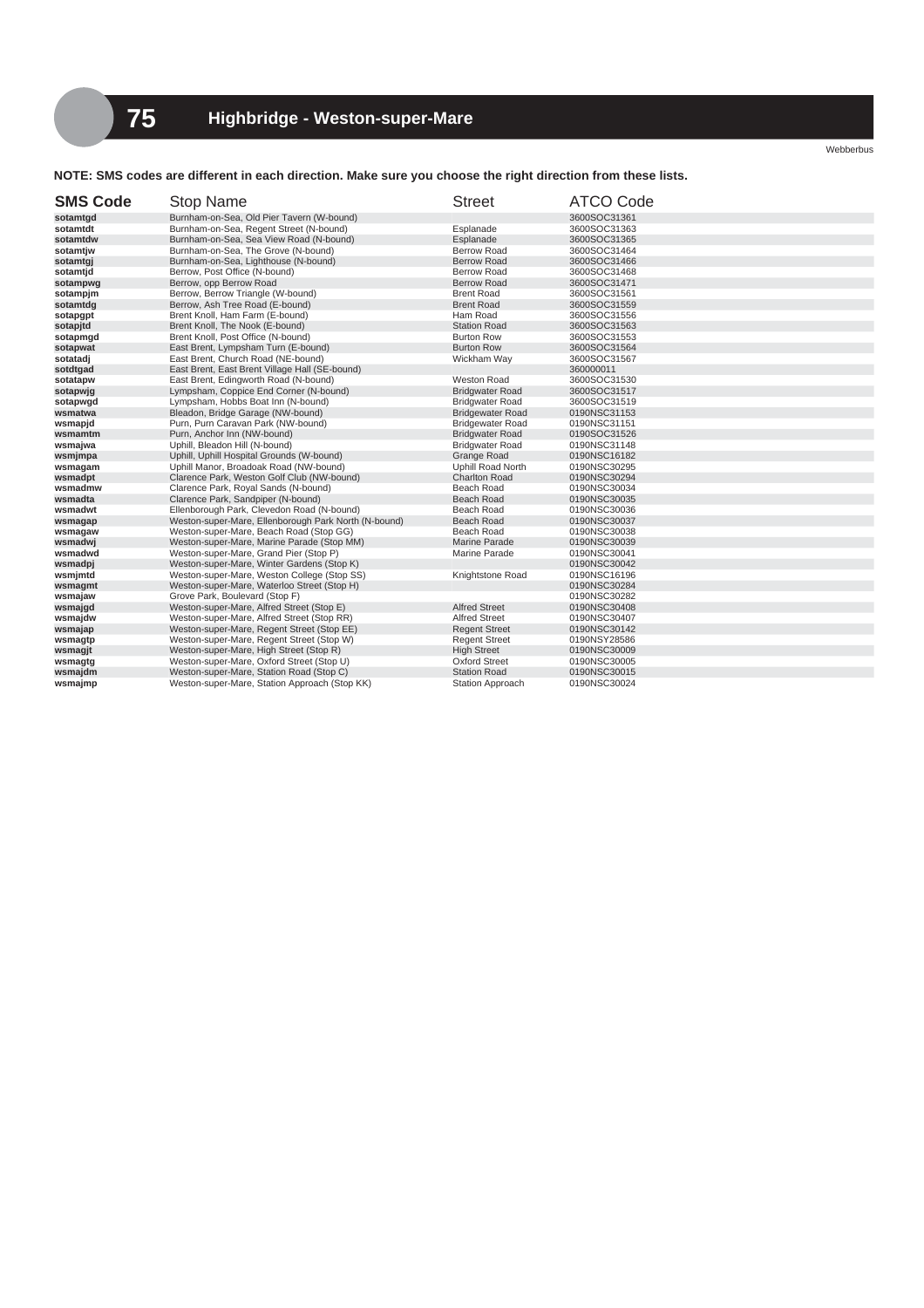Webberbus

**NOTE: SMS codes are different in each direction. Make sure you choose the right direction from these lists.**

| <b>SMS Code</b> | Stop Name                                            | <b>Street</b>           | <b>ATCO Code</b> |
|-----------------|------------------------------------------------------|-------------------------|------------------|
| sotamtgd        | Burnham-on-Sea, Old Pier Tavern (W-bound)            |                         | 3600SOC31361     |
| sotamtdt        | Burnham-on-Sea, Regent Street (N-bound)              | Esplanade               | 3600SOC31363     |
| sotamtdw        | Burnham-on-Sea, Sea View Road (N-bound)              | Esplanade               | 3600SOC31365     |
| sotamtjw        | Burnham-on-Sea, The Grove (N-bound)                  | Berrow Road             | 3600SOC31464     |
| sotamtgj        | Burnham-on-Sea, Lighthouse (N-bound)                 | <b>Berrow Road</b>      | 3600SOC31466     |
| sotamtjd        | Berrow, Post Office (N-bound)                        | <b>Berrow Road</b>      | 3600SOC31468     |
| sotampwg        | Berrow, opp Berrow Road                              | <b>Berrow Road</b>      | 3600SOC31471     |
| sotampjm        | Berrow, Berrow Triangle (W-bound)                    | <b>Brent Road</b>       | 3600SOC31561     |
| sotamtdg        | Berrow, Ash Tree Road (E-bound)                      | <b>Brent Road</b>       | 3600SOC31559     |
| sotapgpt        | Brent Knoll, Ham Farm (E-bound)                      | Ham Road                | 3600SOC31556     |
| sotapitd        | Brent Knoll, The Nook (E-bound)                      | <b>Station Road</b>     | 3600SOC31563     |
| sotapmgd        | Brent Knoll, Post Office (N-bound)                   | <b>Burton Row</b>       | 3600SOC31553     |
| sotapwat        | East Brent, Lympsham Turn (E-bound)                  | <b>Burton Row</b>       | 3600SOC31564     |
| sotatadj        | East Brent, Church Road (NE-bound)                   | Wickham Way             | 3600SOC31567     |
| sotdtgad        | East Brent, East Brent Village Hall (SE-bound)       |                         | 360000011        |
| sotatapw        | East Brent, Edingworth Road (N-bound)                | Weston Road             | 3600SOC31530     |
| sotapwig        | Lympsham, Coppice End Corner (N-bound)               | <b>Bridgwater Road</b>  | 3600SOC31517     |
| sotapwgd        | Lympsham, Hobbs Boat Inn (N-bound)                   | <b>Bridgwater Road</b>  | 3600SOC31519     |
| wsmatwa         | Bleadon, Bridge Garage (NW-bound)                    | <b>Bridgewater Road</b> | 0190NSC31153     |
| wsmapjd         | Purn, Purn Caravan Park (NW-bound)                   | <b>Bridgewater Road</b> | 0190NSC31151     |
| wsmamtm         | Purn, Anchor Inn (NW-bound)                          | <b>Bridgwater Road</b>  | 0190SOC31526     |
| wsmajwa         | Uphill, Bleadon Hill (N-bound)                       | <b>Bridgwater Road</b>  | 0190NSC31148     |
| wsmjmpa         | Uphill, Uphill Hospital Grounds (W-bound)            | <b>Grange Road</b>      | 0190NSC16182     |
| wsmagam         | Uphill Manor, Broadoak Road (NW-bound)               | Uphill Road North       | 0190NSC30295     |
| wsmadpt         | Clarence Park, Weston Golf Club (NW-bound)           | <b>Charlton Road</b>    | 0190NSC30294     |
| wsmadmw         | Clarence Park, Royal Sands (N-bound)                 | Beach Road              | 0190NSC30034     |
| wsmadta         | Clarence Park, Sandpiper (N-bound)                   | Beach Road              | 0190NSC30035     |
| wsmadwt         | Ellenborough Park, Clevedon Road (N-bound)           | Beach Road              | 0190NSC30036     |
| wsmagap         | Weston-super-Mare, Ellenborough Park North (N-bound) | <b>Beach Road</b>       | 0190NSC30037     |
| wsmagaw         | Weston-super-Mare, Beach Road (Stop GG)              | Beach Road              | 0190NSC30038     |
| wsmadwj         | Weston-super-Mare, Marine Parade (Stop MM)           | Marine Parade           | 0190NSC30039     |
| wsmadwd         | Weston-super-Mare, Grand Pier (Stop P)               | Marine Parade           | 0190NSC30041     |
| wsmadpj         | Weston-super-Mare, Winter Gardens (Stop K)           |                         | 0190NSC30042     |
| wsmjmtd         | Weston-super-Mare, Weston College (Stop SS)          | Knightstone Road        | 0190NSC16196     |
| wsmagmt         | Weston-super-Mare, Waterloo Street (Stop H)          |                         | 0190NSC30284     |
| wsmajaw         | Grove Park, Boulevard (Stop F)                       |                         | 0190NSC30282     |
| wsmajgd         | Weston-super-Mare, Alfred Street (Stop E)            | <b>Alfred Street</b>    | 0190NSC30408     |
| wsmajdw         | Weston-super-Mare, Alfred Street (Stop RR)           | <b>Alfred Street</b>    | 0190NSC30407     |
| wsmajap         | Weston-super-Mare, Regent Street (Stop EE)           | <b>Regent Street</b>    | 0190NSC30142     |
| wsmagtp         | Weston-super-Mare, Regent Street (Stop W)            | <b>Regent Street</b>    | 0190NSY28586     |
| wsmagjt         | Weston-super-Mare, High Street (Stop R)              | <b>High Street</b>      | 0190NSC30009     |
| wsmagtg         | Weston-super-Mare, Oxford Street (Stop U)            | <b>Oxford Street</b>    | 0190NSC30005     |
| wsmajdm         | Weston-super-Mare, Station Road (Stop C)             | <b>Station Road</b>     | 0190NSC30015     |
| wsmajmp         | Weston-super-Mare, Station Approach (Stop KK)        | <b>Station Approach</b> | 0190NSC30024     |